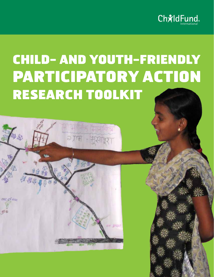

# CHILD- AND YOUTH-FRIENDLY PARTICIPATORY ACTION RESEARCH TOOLKIT

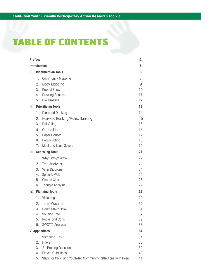## TABLE OF CONTENTS

|     | <b>Preface</b><br>$\overline{\mathbf{2}}$ |                                                                |          |  |  |  |
|-----|-------------------------------------------|----------------------------------------------------------------|----------|--|--|--|
|     |                                           | <b>Introduction</b>                                            | 5        |  |  |  |
| ı.  | <b>Identification Tools</b>               |                                                                |          |  |  |  |
|     | 1.                                        | <b>Community Mapping</b>                                       | 7        |  |  |  |
|     | 2.                                        | <b>Body Mapping</b>                                            | 9        |  |  |  |
|     | 3.                                        | <b>Puppet Show</b>                                             | 10       |  |  |  |
|     | 4.                                        | <b>Drawing Spaces</b>                                          | 11       |  |  |  |
|     | 5.                                        | Life Timeline                                                  | 12       |  |  |  |
| Ш.  |                                           | <b>Prioritizing Tools</b>                                      | 13       |  |  |  |
|     | 1.                                        | Diamond Ranking                                                | 14       |  |  |  |
|     | 2.                                        | Pairwise Ranking/Matrix Ranking                                | 15       |  |  |  |
|     | 3.                                        | Dot Voting                                                     | 15       |  |  |  |
|     | 4.                                        | On the Line                                                    | 16       |  |  |  |
|     | 5.                                        | Paper Houses                                                   | 17       |  |  |  |
|     | 6.                                        | <b>Heavy Voting</b>                                            | 18       |  |  |  |
|     | 7.                                        | Most and Least Severe                                          | 19       |  |  |  |
| Ш.  |                                           | <b>Analyzing Tools</b>                                         | 21       |  |  |  |
|     | 1.                                        | Why? Why? Why?                                                 | 22       |  |  |  |
|     | 2.                                        | <b>Tree Analysis</b>                                           | 23       |  |  |  |
|     | 3.                                        | Venn Diagram                                                   | 24       |  |  |  |
|     | 4.                                        | Spider's Web                                                   | 25       |  |  |  |
|     | 5.                                        | Gender Clock                                                   | 26       |  |  |  |
|     | 6.                                        | <b>Triangle Analysis</b>                                       | 27       |  |  |  |
| IV. |                                           | <b>Planning Tools</b>                                          | 28       |  |  |  |
|     | 1.                                        | Visioning                                                      | 29       |  |  |  |
|     | 2.                                        | <b>Time Machine</b>                                            | 30       |  |  |  |
|     | 3.                                        | How? How? How?                                                 | 31       |  |  |  |
|     | 4                                         | Solution Tree                                                  | 32       |  |  |  |
|     | 5.                                        | Rocks and Carts                                                | 32       |  |  |  |
|     | 6.                                        | SWOT/C Analysis                                                | 33       |  |  |  |
|     |                                           | <b>V. Appendices</b>                                           | 34       |  |  |  |
|     | 1.                                        | <b>Sampling Tips</b>                                           | 34       |  |  |  |
|     | 2.                                        | <b>Filters</b>                                                 | 36       |  |  |  |
|     | 3.<br>4.                                  | 21 Probing Questions<br><b>Ethical Guidelines</b>              | 39       |  |  |  |
|     | 5.                                        | Steps for Child and Youth-led Community Reflections with Peers | 40<br>41 |  |  |  |
|     |                                           |                                                                |          |  |  |  |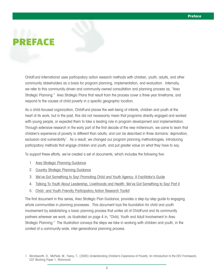# REFACE

ChildFund International uses participatory action research methods with children, youth, adults, and other community stakeholders as a basis for program planning, implementation, and evaluation. Internally, we refer to this community-driven and community-owned consultation and planning process as, "Area Strategic Planning." Area Strategic Plans that result from the process cover a three year timeframe, and respond to the causes of child poverty in a specific geographic location.

As a child-focused organization, ChildFund places the well-being of infants, children and youth at the heart of its work, but in the past, this did not necessarily mean that programs directly engaged and worked with young people, or expected them to take a leading role in program development and implementation. Through extensive research in the early part of the first decade of the new millennium, we came to learn that children's experience of poverty is different than adults, and can be described in three domains: deprivation, exclusion and vulnerability<sup>1</sup>. As a result, we changed our program planning methodologies, introducing participatory methods that engage children and youth, and put greater value on what they have to say.

To support these efforts, we've created a set of documents, which includes the following five:

- 1. Area Strategic Planning Guidance
- 2. Country Strategic Planning Guidance
- 3. We've Got Something to Say! Promoting Child and Youth Agency: A Facilitator's Guide
- 4. Talking To Youth About Leadership, Livelihoods and Health: We've Got Something to Say! Part II
- 5. Child- and Youth-Friendly Participatory Action Research Toolkit

The first document in this series, Area Strategic Plan Guidance, provides a step-by-step guide to engaging whole communities in planning processes. This document lays the foundation for child and youth involvement by establishing a basic planning process that unites all of ChildFund and its community partners wherever we work, as illustrated on page 4 in, "Child, Youth and Adult Involvement in Area Strategic Planning." The illustration conveys the steps we take in working with children and youth, in the context of a community-wide, inter-generational planning process.

<sup>1</sup> Wordsworth, D., McPeak, M., Feeny, T., (2005) Understanding Children's Experience of Poverty: An Introduction to the DEV Framework, CCF Working Paper 1, Richmond.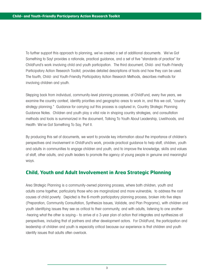To further support this approach to planning, we've created a set of additional documents. We've Got Something to Say! provides a rationale, practical guidance, and a set of five "standards of practice" for ChildFund's work involving child and youth participation. The third document, Child- and Youth-Friendly Participatory Action Research Toolkit, provides detailed descriptions of tools and how they can be used. The fourth, Child- and Youth-Friendly Participatory Action Research Methods, describes methods for involving children and youth.

Stepping back from individual, community-level planning processes, at ChildFund, every five years, we examine the country context, identify priorities and geographic areas to work in, and this we call, "country strategy planning." Guidance for carrying out this process is captured in, Country Strategic Planning Guidance Notes. Children and youth play a vital role in shaping country strategies, and consultation methods and tools is summarized in the document, Talking To Youth About Leadership, Livelihoods, and Health: We've Got Something To Say, Part II.

By producing this set of documents, we want to provide key information about the importance of children's perspectives and involvement in ChildFund's work, provide practical guidance to help staff, children, youth and adults in communities to engage children and youth, and to improve the knowledge, skills and values of staff, other adults, and youth leaders to promote the agency of young people in genuine and meaningful ways.

#### **Child, Youth and Adult Involvement in Area Strategic Planning**

Area Strategic Planning is a community-owned planning process, where both children, youth and adults come together, particularly those who are marginalized and more vulnerable, to address the root causes of child poverty. Depicted is the 6-month participatory planning process, broken into five steps (Preparation, Community Consultation, Synthesize Issues, Validate, and Plan Programs), with children and youth identifying issues they see as critical to their community, and with adults, listening to one another- -hearing what the other is saying-- to arrive at a 3-year plan of action that integrates and synthesizes all perspectives, including that of partners and other development actors. For ChildFund, the participation and leadership of children and youth is especially critical because our experience is that children and youth identify issues that adults often overlook.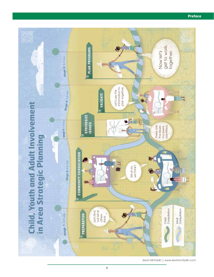

*Kevin McFadin | www.kevinmcfadin.com*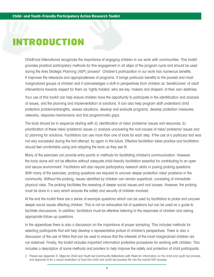## INTRODUCTION

ChildFund International recognizes the importance of engaging children in our work with communities. This toolkit provides practical participatory methods for this engagement in all steps of the program cycle and should be used during the Area Strategic Planning (ASP) process<sup>2</sup>. Children's participation in our work has numerous benefits. It improves the relevance and appropriateness of programs. It brings particular benefits to the poorest and most marginalized groups of children and it acknowledges a shift in perspectives from children as 'beneficiaries' of adult interventions towards respect for them as 'rights holders' who are key 'makers and shapers' of their own destinies.

Your use of this toolkit can help ensure children have the opportunity to participate in the identification and analysis of issues, and the planning and implementation of solutions. It can also help program staff understand child protection problems/strengths, assess situations, develop and evaluate programs, develop protection measures, networks, response mechanisms and find programmatic gaps.

The tools should be in sequence starting with a) identification of risks/ problems/ issues and resources, b) prioritization of these risks/ problems/ issues c) analysis uncovering the root-causes of risks/ problems/ issues and d) planning for solutions. Facilitators can use more than one of tools for each step. If the use of a particular tool was not very successful during the first attempt, try again in the future. Effective facilitation takes practice and facilitators should feel comfortable using and adapting the tools as they see fit.

Many of the exercises can provide entry-points or methods for facilitating children's communication. However, the tools alone will not be effective without adequate child-friendly facilitation essential for contributing to an open and secure environment. Facilitators will also require participatory research skills in posing probing questions. With many of the exercises, probing questions are required to uncover deeper protection risks/ problems in the community. Without the probing, issues identified by children can remain superficial, consisting of immediate physical risks. The probing facilitates the revealing of deeper social issues and root causes. However, the probing must be done in a way which ensures the safety and security of children involved.

At the end the toolkit there are a series of example questions which can be used by facilitators to probe and uncover deeper social issues affecting children. This is not an exhaustive list of questions but can be used as a guide to facilitate discussions. In addition, facilitators must be attentive listening to the responses of children and asking appropriate follow-up questions.

In the appendices there is also a discussion on the importance of proper sampling. This includes methods for selecting participants that will help develop a representative picture of children's perspectives. There is also a discussion of the use of filters that can be used to ensure that the interests of the most marginalized children are not sidelined. Finally, the toolkit includes important information protective procedures for working with children. This includes a description of some methods and pointers to help improve the safety and protection of child participants.

<sup>2</sup> Please see Appendix 5: Steps for Child and Youth-led Community Reflections with Peers for information on the child and youth led process and Appendix 6 for a visual illustration of how this child and youth-led process fits into the overall ASP process.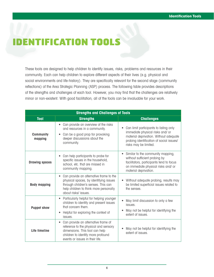## ENTIFICATION TOOLS

These tools are designed to help children to identify issues, risks, problems and resources in their community. Each can help children to explore different aspects of their lives (e.g. physical and social environments and life-history). They are specifically relevant for the second stage (community reflections) of the Area Strategic Planning (ASP) process. The following table provides descriptions of the strengths and challenges of each tool. However, you may find that the challenges are relatively minor or non-existent. With good facilitation, all of the tools can be invaluable for your work.

| <b>Strengths and Challenges of Tools</b> |                                                                                                                                                                                                         |                                                                                                                                                                                           |  |  |  |
|------------------------------------------|---------------------------------------------------------------------------------------------------------------------------------------------------------------------------------------------------------|-------------------------------------------------------------------------------------------------------------------------------------------------------------------------------------------|--|--|--|
| <b>Tool</b>                              | <b>Strengths</b>                                                                                                                                                                                        | <b>Challenges</b>                                                                                                                                                                         |  |  |  |
| <b>Community</b><br>mapping              | Can provide an overview of the risks<br>$\bullet$<br>and resources in a community.<br>Can be a good prop for provoking<br>$\bullet$<br>deeper discussions about the<br>community.                       | Can limit participants to listing only<br>immediate physical risks and/ or<br>material deprivation. Without adequate<br>probing identification of social issues/<br>risks may be limited. |  |  |  |
| <b>Drawing spaces</b>                    | Can help participants to probe for<br>$\bullet$<br>specific issues in the household,<br>school, etc. that are missed in<br>community mapping.                                                           | • Similar to the community mapping,<br>without sufficient probing by<br>facilitators, participants tend to focus<br>on immediate physical risks and/ or<br>material deprivation.          |  |  |  |
| <b>Body mapping</b>                      | Can provide an alternative frame to the<br>$\bullet$<br>physical spaces, by identifying issues<br>through children's senses. This can<br>help children to think more personally<br>about risks/ issues. | Without adequate probing, results may<br>be limited superficial issues related to<br>the senses.                                                                                          |  |  |  |
| <b>Puppet show</b>                       | Particularly helpful for helping younger<br>$\bullet$<br>children to identify and present issues<br>that concern them.<br>Helpful for exploring the context of<br>$\bullet$<br>issues.                  | May limit discussion to only a few<br>issues.<br>May not be helpful for identifying the<br>extent of issues.                                                                              |  |  |  |
| Life timeline                            | Can provide an alternative frame of<br>$\bullet$<br>reference to the physical and sensory<br>dimensions. This tool can help<br>children to identify more profound<br>events or issues in their life.    | May not be helpful for identifying the<br>extent of issues.                                                                                                                               |  |  |  |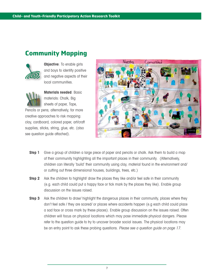## **Community Mapping**



**Objective**: To enable girls and boys to identify positive and negative aspects of their local communities.



**Materials needed**: Basic materials: Chalk, Big sheets of paper, Tape,

Pencils or pens; alternatively, for more creative approaches to risk mapping: clay, cardboard, colored paper, art/craft supplies, sticks, string, glue, etc. (also see question guide attached).



- **Step 1** Give a group of children a large piece of paper and pencils or chalk. Ask them to build a map of their community highlighting all the important places in their community. (Alternatively, children can literally 'build' their community using clay, material found in the environment and/ or cutting out three dimensional houses, buildings, trees, etc.)
- **Step 2** Ask the children to highlight/ draw the places they like and/or feel safe in their community (e.g. each child could put a happy face or tick mark by the places they like). Enable group discussion on the issues raised.
- **Step 3** Ask the children to draw/ highlight the dangerous places in their community, places where they don't feel safe / they are scared/ or places where accidents happen (e.g each child could place a sad face or cross mark by these places). Enable group discussion on the issues raised. Often children will focus on physical locations which may pose immediate physical dangers. Please refer to the question guide to try to uncover broader social issues. The physical locations may be an entry point to ask these probing questions. Please see a question quide on page 17.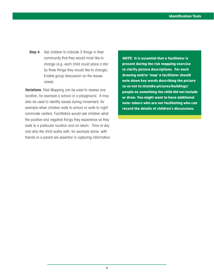**Step 4** Ask children to indicate 3 things in their community that they would most like to change (e.g. each child could place a star by three things they would like to change). Enable group discussion on the issues raised.

**Variations**: Risk Mapping can be used to assess one location, for example a school or a playground. It may also be used to identify issues during movement, for example when children walk to school or walk to night commuter centers. Facilitators would ask children what the positive and negative things they experience as they walk to a particular location and on return. Time of day and who the child walks with, for example alone, with friends or a parent are essential in capturing information.

**NOTE: It is essential that a facilitator is present during the risk mapping exercise to clarify picture descriptions. For each drawing and/or 'map' a facilitator should note down key words describing the picture so as not to mistake pictures/buildings/ people as something the child did not include or draw. You might want to have additional note-takers who are not facilitating who can record the details of children's discussions.**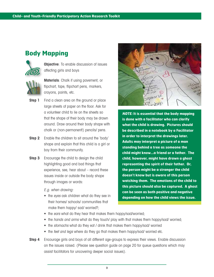## **Body Mapping**



**Objective**: To enable discussion of issues affecting girls and boys

**Materials**: Chalk if using pavement, or flipchart, tape, flipchart pens, markers, crayons, paints, etc.

- **Step 1** Find a clean area on the ground or place large sheets of paper on the floor. Ask for a volunteer child to lie on the sheets so that the shape of their body may be drawn around. Draw around their body shape with chalk or (non-permanent!) pencils/ pens.
- **Step 2** Enable the children to sit around the 'body' shape and explain that this child is a girl or boy from their community.
- **Step 3** Encourage the child to design the child highlighting good and bad things that experience, see, hear about – record these issues inside or outside the body shape through images or words:

E.g. when drawing:

• the eyes ask children what do they see in their homes/ schools/ communities that make them happy/ sad/ worried?;



**NOTE: It is essential that the body mapping is done with a facilitator who can clarify what the child is drawing. Pictures should be described in a notebook by a Facilitator in order to interpret the drawings later. Adults may interpret a picture of a man standing behind a tree as someone the child might know…a friend or a father. The child, however, might have drawn a ghost representing the spirit of their father. Or, the person might be a stranger the child doesn't know but is aware of this person watching them. The emotions of the child to this picture should also be captured. A ghost can be seen as both positive and negative depending on how the child views the issue.** 

- the ears what do they hear that makes them happy/sad/worried;
- the hands and arms what do they touch/ play with that makes them happy/sad/ worried;
- the *stomachs* what do they eat / drink that makes them happy/sad/ worried
- the feet and legs where do they go that makes them happy/sad/ worried etc.
- **Step 4** Encourage girls and boys of all different age-groups to express their views. Enable discussion on the issues raised. (Please see question guide on page 20 for queue questions which may assist facilitators for uncovering deeper social issues).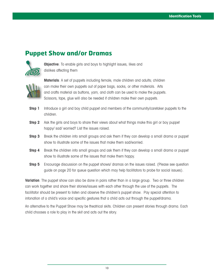## **Puppet Show and/or Dramas**



**Objective**: To enable girls and boys to highlight issues, likes and dislikes affecting them



**Materials**: A set of puppets including female, male children and adults; children can make their own puppets out of paper bags, socks, or other materials. Arts and crafts material as buttons, yarn, and cloth can be used to make the puppets. Scissors, tape, glue will also be needed if children make their own puppets.

- **Step 1** Introduce a girl and boy child puppet and members of the community/caretaker puppets to the children.
- **Step 2** Ask the girls and boys to share their views about what things make this girl or boy puppet happy/ sad/ worried? List the issues raised.
- **Step 3** Break the children into small groups and ask them if they can develop a small drama or puppet show to illustrate some of the issues that make them sad/worried.
- **Step 4** Break the children into small groups and ask them if they can develop a small drama or puppet show to illustrate some of the issues that make them happy.
- **Step 5** Encourage discussion on the puppet shows/ dramas on the issues raised. (Please see question guide on page 20 for queue question which may help facilitators to probe for social issues).

**Variation**: The puppet show can also be done in pairs rather than in a large group. Two or three children can work together and share their stories/issues with each other through the use of the puppets. The facilitator should be present to listen and observe the children's puppet show. Pay special attention to intonation of a child's voice and specific gestures that a child acts out through the puppet/drama.

An alternative to the Puppet Show may be theatrical skits. Children can present stories through drama. Each child chooses a role to play in the skit and acts out the story.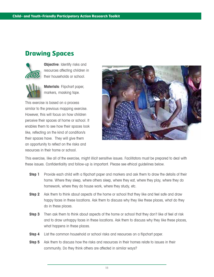## **Drawing Spaces**



**Objective:** Identify risks and resources affecting children in their households or school.

**Materials**: Flipchart paper, markers, masking tape.

This exercise is based on a process similar to the previous mapping exercise. However, this will focus on how children perceive their spaces at home or school. It enables them to see how their spaces look like, reflecting on the kind of condition/s their spaces have. They will give them an opportunity to reflect on the risks and resources in their home or school.



This exercise, like all of the exercise, might illicit sensitive issues. Facilitators must be prepared to deal with these issues. Confidentiality and follow-up is important. Please see ethical guidelines below.

- **Step 1** Provide each child with a flipchart paper and markers and ask them to draw the details of their home. Where they sleep, where others sleep, where they eat, where they play, where they do homework, where they do house work, where they study, etc.
- **Step 2** Ask them to think about aspects of the home or school that they like and feel safe and draw happy faces in these locations. Ask them to discuss why they like these places, what do they do in these places.
- **Step 3** Then ask them to think about aspects of the home or school that they don't like of feel at risk and to draw unhappy faces in these locations. Ask them to discuss why they like these places, what happens in these places.
- **Step 4** List the common household or school risks and resources on a flipchart paper.
- **Step 5** Ask them to discuss how the risks and resources in their homes relate to issues in their community. Do they think others are affected in similar ways?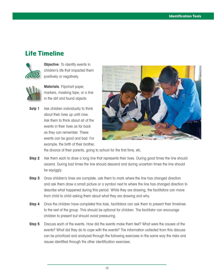#### **Life Timeline**



**Objective:** To identify events in children's life that impacted them positively or negatively.



**Materials**: Flipchart paper, markers, masking tape; or a line in the dirt and found objects.

**Setp 1** Ask children individually to think about their lives up until now. Ask them to think about all of the events in their lives as far back as they can remember. These events can be good and bad. For example, the birth of their brother,



the divorce of their parents, going to school for the first time, etc.

- **Step 2** Ask them each to draw a long line that represents their lives. During good times the line should ascend. During bad times the line should descend and during uncertain times the line should be squiggly.
- **Step 3** Once children's lines are complete, ask them to mark where the line has changed direction and ask them draw a small picture or a symbol next to where the line has changed direction to describe what happened during this period. While they are drawing, the facilitators can move from child to child asking them about what they are drawing and why.
- **Step 4** Once the children have completed this task, facilitators can ask them to present their timelines to the rest of the group. This should be optional for children. The facilitator can encourage children to present but should avoid pressuring.
- **Step 5** Discuss each of the events. How did the events make them feel? What were the causes of the events? What did they do to cope with the events? The information collected from this discuss can be prioritized and analyzed through the following exercises in the same way the risks and issues identified through the other identification exercises.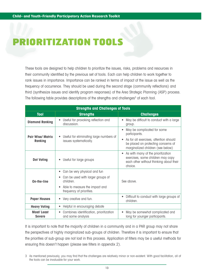## **RIORITIZATION TOOL**

These tools are designed to help children to prioritize the issues, risks, problems and resources in their community identified by the previous set of tools. Each can help children to work together to rank issues in importance. Importance can be ranked in terms of impact of the issue as well as the frequency of occurrence. They should be used during the second stage (community reflections) and third (synthesize issues and identify program responses) of the Area Strategic Planning (ASP) process. The following table provides descriptions of the strengths and challenges<sup>3</sup> of each tool.

| <b>Strengths and Challenges of Tools</b> |                                                                                                                                                                |                                                                                                                                                                    |  |  |  |
|------------------------------------------|----------------------------------------------------------------------------------------------------------------------------------------------------------------|--------------------------------------------------------------------------------------------------------------------------------------------------------------------|--|--|--|
| <b>Tool</b>                              | <b>Strengths</b>                                                                                                                                               | <b>Challenges</b>                                                                                                                                                  |  |  |  |
| <b>Diamond Ranking</b>                   | Useful for provoking reflection and<br>discussion.                                                                                                             | May be difficult to conduct with a large<br>group.                                                                                                                 |  |  |  |
| <b>Pair Wise/ Matrix</b><br>Ranking      | • Useful for eliminating large numbers of<br>issues systematically.                                                                                            | May be complicated for some<br>participants.<br>As for all exercises, attention should<br>be placed on protecting concerns of<br>marginalized children (see below) |  |  |  |
| <b>Dot Voting</b>                        | Useful for large groups                                                                                                                                        | As with many of the prioritization<br>$\bullet$<br>exercises, some children may copy<br>each other without thinking about their<br>choice.                         |  |  |  |
| On-the-line                              | Can be very physical and fun<br>٠<br>Can be used with larger groups of<br>children.<br>Able to measure the impact and<br>$\bullet$<br>frequency of priorities. | See above.                                                                                                                                                         |  |  |  |
| <b>Paper Houses</b>                      | • Very creative and fun.                                                                                                                                       | Difficult to conduct with large groups of<br>children.                                                                                                             |  |  |  |
| <b>Heavy Voting</b>                      | Helpful in encouraging debate<br>$\bullet$                                                                                                                     |                                                                                                                                                                    |  |  |  |
| <b>Most/Least</b><br><b>Severe</b>       | Combines identification, prioritization<br>and some analysis                                                                                                   | May be somewhat complicated and<br>long for younger participants.                                                                                                  |  |  |  |

It is important to note that the majority of children in a community and in a PAR group may not share the perspectives of highly marginalized sub-groups of children. Therefore it is important to ensure that the priorities of sub-group are not lost in this process. Application of filters may be a useful methods for ensuring this doesn't happen (please see filters in appendix 2).

<sup>3</sup> As mentioned previously, you may find that the challenges are relatively minor or non-existent. With good facilitation, all of the tools can be invaluable for your work.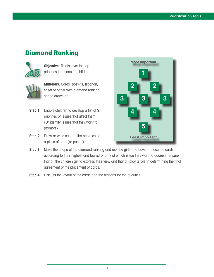## **Diamond Ranking**



**Objective:** To discover the top priorities that concern children



**Materials**: Cards, post-its, flipchart, sheet of paper with diamond ranking shape drawn on it

- **Step 1** Enable children to develop a list of 9 priorities of issues that affect them. (Or identify issues that they want to promote)
- **Step 2** Draw or write each of the priorities on a piece of card (or post-it)



- **Step 3** Make the shape of the diamond ranking and ask the girls and boys to place the cards according to their highest and lowest priority of which issue they want to address. Ensure that all the children get to express their view and that all play a role in determining the final agreement of the placement of cards.
- **Step 4** Discuss the layout of the cards and the reasons for the priorities.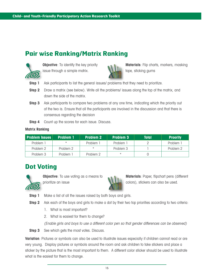### **Pair wise Ranking/Matrix Ranking**



**Objective**: To identify the key priority issue through a simple matrix.



**Materials**: Flip charts, markers, masking tape, sticking gums

- **Step 1** Ask participants to list the general issues/ problems that they need to prioritize.
- **Step 2** Draw a matrix (see below). Write all the problems/ issues along the top of the matrix, and down the side of the matrix.
- **Step 3** Ask participants to compare two problems at any one time, indicating which the priority out of the two is. Ensure that all the participants are involved in the discussion and that there is consensus regarding the decision
- **Step 4** Count up the scores for each issue. Discuss.

#### **Matrix Ranking**

| <b>Problem Issues</b> | <b>Problem 1</b> | <b>Problem 2</b> | <b>Problem 3</b> | Total | <b>Proority</b> |
|-----------------------|------------------|------------------|------------------|-------|-----------------|
| Problem 1             |                  | Problem 1        | Problem 1        |       | Problem 1       |
| Problem 2             | Problem 2        |                  | Problem 3        |       | Problem 2       |
| Problem 3             | Problem 1        | Problem 2        |                  |       |                 |

#### **Dot Voting**



**Objective**: To use voting as a means to prioritize an issue



**Materials**: Paper, flipchart pens (different colors), stickers can also be used.

- **Step 1** Make a list of all the issues raised by both boys and girls.
- **Step 2** Ask each of the boys and girls to make a dot by their two top priorities according to two criteria:
	- 1. What is most important?
	- 2. What is easiest for them to change?

(Enable girls and boys to use a different color pen so that gender differences can be observed)

**Step 3** See which gets the most votes. Discuss.

**Variation**: Pictures or symbols can also be used to illustrate issues especially if children cannot read or are very young. Display pictures or symbols around the room and ask children to take stickers and place a sticker by the picture that is the most important to them. A different color sticker should be used to illustrate what is the easiest for them to change.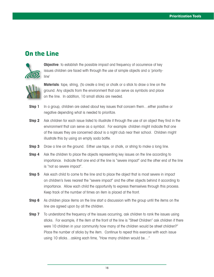### **On the Line**



**Objective**: to establish the possible impact and frequency of occurrence of key issues children are faced with through the use of simple objects and a 'priorityline'



**Materials**: tape, string, (to create a line) or chalk or a stick to draw a line on the ground. Any objects from the environment that can serve as symbols and place on the line. In addition, 10 small sticks are needed.

- **Step 1** In a group, children are asked about key issues that concern them...either positive or negative depending what is needed to prioritize.
- **Step 2** Ask children for each issue listed to illustrate it through the use of an object they find in the environment that can serve as a symbol. For example: children might indicate that one of the issues they are concerned about is a night club near their school. Children might illustrate this by using an empty soda bottle.
- **Step 3** Draw a line on the ground. Either use tape, or chalk, or string to make a long line.
- **Step 4** Ask the children to place the objects representing key issues on the line according to importance. Indicate that one end of the line is "severe impact" and the other end of the line is "not so severe impact".
- **Step 5** Ask each child to come to the line and to place the object that is most severe in impact on children's lives nearest the "severe impact" and the other objects behind it according to importance. Allow each child the opportunity to express themselves through this process. Keep track of the number of times an item is placed at the front.
- **Step 6** As children place items on the line start a discussion with the group until the items on the line are agreed upon by all the children.
- **Step 7** To understand the frequency of the issues occurring, ask children to rank the issues using sticks. For example, if the item at the front of the line is "Street Children" ask children if there were 10 children in your community how many of the children would be street children?" Place the number of sticks by the item. Continue to repeat this exercise with each issue using 10 sticks…asking each time, "How many children would be…"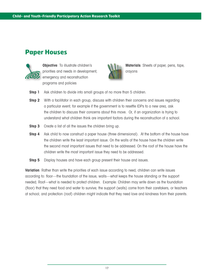## **Paper Houses**



**Objective**: To illustrate children's priorities and needs in development, emergency and reconstruction programs and policies



**Materials**: Sheets of paper, pens, tape, crayons

- **Step 1** Ask children to divide into small groups of no more than 5 children.
- **Step 2** With a facilitator in each group, discuss with children their concerns and issues regarding a particular event; for example if the government is to resettle IDPs to a new area, ask the children to discuss their concerns about this move. Or, if an organization is trying to understand what children think are important factors during the reconstruction of a school.
- **Step 3** Create a list of all the issues the children bring up.
- **Step 4** Ask child to now construct a paper house (three dimensional). At the bottom of the house have the children write the least important issue. On the walls of the house have the children write the second most important issues that need to be addressed. On the roof of the house have the children write the most important issue they need to be addressed.
- **Step 5** Display houses and have each group present their house and issues.

**Variation**: Rather than write the priorities of each issue according to need, children can write issues according to: floor—the foundation of the issue, walls—what keeps the house standing or the support needed; Roof—what is needed to protect children. Example: Children may write down as the foundation (floor) that they need food and water to survive; the support (walls) come from their caretakers, or teachers at school; and protection (roof) children might indicate that they need love and kindness from their parents.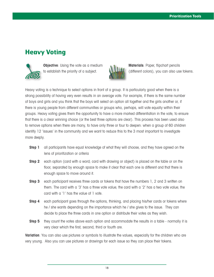## **Heavy Voting**



**Objective**: Using the vote as a medium to establish the priority of a subject.



**Materials**: Paper, flipchart pencils (different colors), you can also use tokens.

Heavy voting is a technique to select options in front of a group. It is particularly good when there is a strong possibility of having very even results in an average vote. For example, if there is the same number of boys and girls and you think that the boys will select an option all together and the girls another or, if there is young people from different communities or groups who, perhaps, will vote equally within their groups. Heavy voting gives them the opportunity to have a more marked differentiation in the vote, to ensure that there is a clear winning choice (or the best three options are clear). This process has been used also to remove options when there are many, to have only three or four to deepen: when a group of 60 children identify 12 'issues' in the community and we want to reduce this to the 3 most important to investigate more deeply.

- **Step 1** all participants have equal knowledge of what they will choose, and they have agreed on the lens of prioritization or criteria
- **Step 2** each option (card with a word; card with drawing or object) is placed on the table or on the floor, separated by enough space to make it clear that each one is different and that there is enough space to move around it.
- **Step 3** each participant receives three cards or tokens that have the numbers 1, 2 and 3 written on them. The card with a '3' has a three vote value; the card with a '2' has a two vote value; the card with a '1' has the value of 1 vote.
- **Step 4** each participant goes through the options, thinking, and placing his/her cards or tokens where he / she wants depending on the importance which he / she gives to the issue. They can decide to place the three cards in one option or distribute their votes as they wish.
- **Step 5** they count the votes above each option and accommodate the results in a table normally it is very clear which the first, second, third or fourth are.

**Variation**: You can also use pictures or symbols to illustrate the values, especially for the children who are very young. Also you can use pictures or drawings for each issue so they can place their tokens.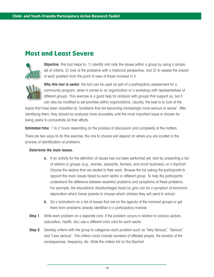### **Most and Least Severe**



**Objective**: this tool helps to: 1) identify and rank the issues within a group by using a simple set of criteria; 2) look at the problems with a historical perspective; and 3) to assess the impact of each problem from the point of view of those involved in it.



Why this tool is useful: the tool can be used as part of a participatory assessment for a community program, when it comes to an organization or a workshop with representatives of different groups. This exercise is a good help for analysis with groups that support us, but it can also be modified to set priorities within organizations. Usually, the best is to look at the

topics that have been classified as "problems that are becoming increasingly more serious or worse". After identifying them, they should be analyzed more accurately until the most important issue is chosen for being useful to concentrate all their efforts.

**Estimated time**: 1 to 2 hours depending on the process of discussion and complexity of the matters.

There are two ways to do this exercise; the one to choose will depend on where you are located in the process of identification of problems.

#### **Determine the main issues.**

- **a.** If an activity for the definition of issues has not been performed yet, start by presenting a list of sectors or groups (e.g., women, peasants, farmers, and small business) on a flipchart. Choose the sectors that are related to their work. Browse the list asking the participants to appoint the main issues faced by each sector or different group. To help the participants understand the difference between essential problems and symptoms of these problems. For example, the educational disadvantages faced by girls can be a symptom of economic deprivation which forces parents to choose which children they will send to school.
- **b.** Do a brainstorm on a list of issues that are on the agenda of the involved groups or get them from problems already identified in a participatory manner.
- **Step 1** Write each problem on a separate card. If the problem occurs in relation to various sectors (education, health, etc) use a different color card for each sector.
- **Step 2** Develop criteria with the group to categorize each problem such as "Very Serious", "Serious" and "Less serious". The criteria could include numbers of affected people, the severity of the consequences, frequency, etc. Write the criteria list on the flipchart.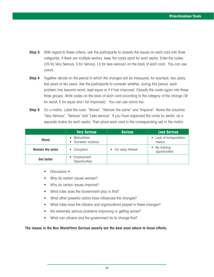- **Step 3** With regard to these criteria, ask the participants to classify the issues on each card into three categories. If there are multiple sectors, keep the cards apart for each sector. Enter the codes (VS for Very Serious, S for Serious, LS for less serious) on the back of each card. You can use colors.
- **Step 4** Together decide on the period in which the changes will be measured; for example, two years, five years or ten years. Ask the participants to consider whether, during this period, each problem has become worst, kept equal or if it has improved. Classify the cards again into these three groups. Write codes on the back of each card according to the category of the change (W for worst, E for equal and I for improved). You can use colors too.
- **Step 5** Do a matrix. Label the rows: "Worse", "Remain the same" and "Improve". Name the columns: "Very Serious", "Serious" and "Less serious". If you have organized the cards by sector, do a separate matrix for each sector. Then place each card in the corresponding cell in the matrix.

|                        | <b>Very Serious</b>                              | <b>Serious</b>    | <b>Less Serious</b>               |
|------------------------|--------------------------------------------------|-------------------|-----------------------------------|
| <b>Worst</b>           | Malnutrition<br>$\bullet$<br>• Domestic violence |                   | • Lack of transportation<br>means |
| <b>Remain the same</b> | • Corruption                                     | • Far away Market | No training<br>opportunities      |
| <b>Get better</b>      | • Employment<br>Opportunities                    |                   |                                   |

- Discussion •
- Why do certain issues worsen?
- Why do certain issues improve?
- What roles does the Government play in this?
- What other powerful actors have influenced the changes?
- What roles have the citizens and organizations played in these changes?
- Are extremely serious problems improving or getting worse?
- What can citizens and the government do to change this?

#### **The issues in the Box Worst/Very Serious usually are the best ones where to focus efforts.**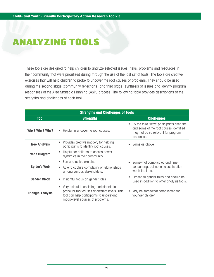## ANALYZING TOOLS

These tools are designed to help children to analyze selected issues, risks, problems and resources in their community that were prioritized during through the use of the last set of tools. The tools are creative exercises that will help children to probe to uncover the root causes of problems. They should be used during the second stage (community reflections) and third stage (synthesis of issues and identify program responses) of the Area Strategic Planning (ASP) process. The following table provides descriptions of the strengths and challenges of each tool.

| <b>Strengths and Challenges of Tools</b> |                                                                                                                                                                              |                                                                                                                                                       |  |  |  |
|------------------------------------------|------------------------------------------------------------------------------------------------------------------------------------------------------------------------------|-------------------------------------------------------------------------------------------------------------------------------------------------------|--|--|--|
| <b>Tool</b>                              | <b>Strengths</b>                                                                                                                                                             | <b>Challenges</b>                                                                                                                                     |  |  |  |
| Why? Why? Why?                           | • Helpful in uncovering root causes.                                                                                                                                         | By the third "why" participants often tire<br>$\bullet$<br>and some of the root causes identified<br>may not be so relevant for program<br>responses. |  |  |  |
| <b>Tree Analysis</b>                     | Provides creative imagery for helping<br>participants to identify root causes.                                                                                               | Same as above<br>$\bullet$                                                                                                                            |  |  |  |
| <b>Venn Diagram</b>                      | Helpful for children to assess power<br>dynamics in their community.                                                                                                         |                                                                                                                                                       |  |  |  |
| <b>Spider's Web</b>                      | • Fun and active exercise<br>Able to capture complexity of relationships<br>among various stakeholders.                                                                      | Somewhat complicated and time<br>$\bullet$<br>consuming, but nonetheless is often<br>worth the time.                                                  |  |  |  |
| <b>Gender Clock</b>                      | Insightful focus on gender roles                                                                                                                                             | Limited to gender roles and should be<br>$\bullet$<br>used in addition to other analysis tools.                                                       |  |  |  |
| <b>Triangle Analysis</b>                 | Very helpful in assisting participants to<br>probe for root causes at different levels. This<br>tool can help participants to understand<br>macro-level sources of problems. | May be somewhat complicated for<br>younger children.                                                                                                  |  |  |  |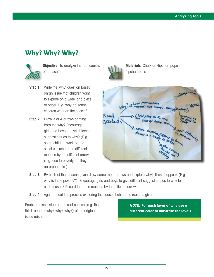## **Why? Why? Why?**



**Objective**: To analyze the root causes of an issue.

- **Step 1** Write the 'why' question based on an issue that children want to explore on a wide long piece of paper. E.g. why do some children work on the streets?
- **Step 2** Draw 3 or 4 arrows coming from the why? Encourage girls and boys to give different suggestions as to why? (E.g. some children work on the streets) – record the different reasons by the different arrows. (e.g. due to poverty, as they are an orphan etc.)



**Materials**: Chalk or Flipchart paper, flipchart pens

| A Low Mirminicare<br>urents are always    |                     |
|-------------------------------------------|---------------------|
| Road<br>gccident<br>wild play on the road | Lo<br><b>Rod</b> Co |
| A over caking I have to head think        | I not likewing      |
|                                           |                     |
| <b>NICHA CTOSING</b>                      |                     |

- **Step 3** By each of the reasons given draw some more arrows and explore why? These happen? (E.g. why is there poverty?). Encourage girls and boys to give different suggestions as to why for each reason? Record the main reasons by the different arrows.
- **Step 4** Again repeat this process exploring the causes behind the reasons given.

Enable a discussion on the root causes (e.g. the third round of why? why? why?) of the original issue raised.

**NOTE: For each layer of why use a different color to illustrate the levels.**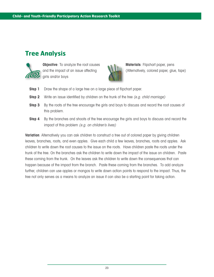## **Tree Analysis**



**Objective**: To analyze the root causes and the impact of an issue affecting girls and/or boys



**Materials**: Flipchart paper, pens (Alternatively, colored paper, glue, tape)

- **Step 1** Draw the shape of a large tree on a large piece of flipchart paper.
- **Step 2** Write an issue identified by children on the trunk of the tree (e.g. child marriage)
- **Step 3** By the roots of the tree encourage the girls and boys to discuss and record the root causes of this problem.
- **Step 4** By the branches and shoots of the tree encourage the girls and boys to discuss and record the impact of this problem (e.g. on children's lives)

**Variation**: Alternatively you can ask children to construct a tree out of colored paper by giving children leaves, branches, roots, and even apples. Give each child a few leaves, branches, roots and apples. Ask children to write down the root causes to the issue on the roots. Have children paste the roots under the trunk of the tree. On the branches ask the children to write down the impact of the issue on children. Paste these coming from the trunk. On the leaves ask the children to write down the consequences that can happen because of the impact from the branch. Paste these coming from the branches. To add analyze further, children can use apples or mangos to write down action points to respond to the impact. Thus, the tree not only serves as a means to analyze an issue it can also be a starting point for taking action.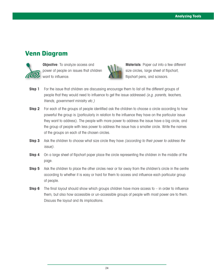#### **Venn Diagram**



**Objective**: To analyze access and power of people on issues that children want to influence.



**Materials**: Paper cut into a few different size circles, large sheet of flipchart, flipchart pens, and scissors.

- **Step 1** For the issue that children are discussing encourage them to list all the different groups of people that they would need to influence to get the issue addressed (e.g. parents, teachers, friends, government ministry etc.)
- **Step 2** For each of the groups of people identified ask the children to choose a circle according to how powerful the group is (particularly in relation to the influence they have on the particular issue they want to address). The people with more power to address the issue have a big circle, and the group of people with less power to address the issue has a smaller circle. Write the names of the groups on each of the chosen circles.
- **Step 3** Ask the children to choose what size circle they have *(according to their power to address the* issue).
- **Step 4** On a large sheet of flipchart paper place the circle representing the children in the middle of the page.
- **Step 5** Ask the children to place the other circles near or far away from the children's circle in the centre according to whether it is easy or hard for them to access and influence each particular group of people.
- **Step 6** The final layout should show which groups children have more access to in order to influence them, but also how accessible or un-accessible groups of people with most power are to them. Discuss the layout and its implications.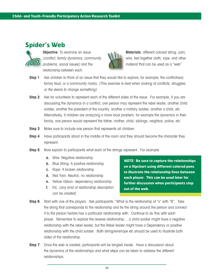### **Spider's Web**



**Objective**: To examine an issue (conflict, family dynamics, community problems, social issues) and the relationship between each.



**Materials**: different colored string, yarn, wire, tied together cloth, rope, and other material that can be used as a "web"

- **Step 1** Ask children to think of an issue that they would like to explore; for example, the conflict/war; family feud, or a community rivalry. (This exercise is best when looking at conflicts, struggles, or the desire to change something)
- **Step 2** Ask for volunteers to represent each of the different sides of the issue. For example, if you are discussing the dynamics in a conflict, one person may represent the rebel leader, another child soldier, another the president of the country, another a military soldier, another a child, etc. Alternatively, if children are analyzing a more local problem, for example the dynamics in their family, one person would represent the father, mother, child, siblings, neighbor, police, etc.
- **Step 3** Make sure to include one person that represents all children.
- **Step 4** Have participants stand in the middle of the room and they should become the character they represent.
- **Step 5** Now explain to participants what each of the strings represent. For example:
	- **a.** Wire: Negative relationship
	- **b.** Blue String: A positive relationship
	- **c.** Rope: A broken relationship
	- **d.** Red Yarn: Neutral, no relationship
	- **e.** Yellow ribbon: dependency relationship
	- **f.** Etc. (any kind of relationship description can be created)

**NOTE: Be sure to capture the relationships on a flipchart using different colored pens to illustrate the relationship lines between each player. This can be used later for further discussion when participants step out of the web.** 

- **Step 6** Start with one of the players. Ask participants: "What is the relationship of "x" with "B". Take the string that corresponds to the relationship and tie the string around the person and connect it to the person he/she has a particular relationship with. Continue to do this with each player. Remember to explore the reverse relationship….a child soldier might have a negative relationship with the rebel leader, but the Rebel leader might have a Dependency or positive relationship with the child soldier. Both string/wire/rope etc should be used to illustrate both sides of the relationship.
- **Step 7** Once the web is created, participants will be tangled inside. Have a discussion about the dynamics of the relationships and what steps can be taken to address the different relationships.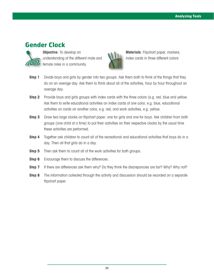### **Gender Clock**



**Objective**: To develop an understanding of the different male and female roles in a community.



**Materials**: Flipchart paper, markers, index cards in three different colors

- **Step 1** Divide boys and girls by gender into two groups. Ask them both to think of the things that they do on an average day. Ask them to think about all of the activities, hour by hour throughout an average day.
- **Step 2** Provide boys and girls groups with index cards with the three colors (e.g. red, blue and yellow. Ask them to write educational activities on index cards of one color, e.g. blue, educational activities on cards on another color, e.g. red, and work activities, e.g. yellow.
- **Step 3** Draw two large clocks on flipchart paper: one for girls and one for boys. Ask children from both groups (one child at a time) to put their activities on their respective clocks by the usual time these activities are performed.
- **Step 4** Together ask children to count all of the recreational and educational activities that boys do in a day. Then all that girls do in a day.
- **Step 5** Then ask them to count all of the work activities for both groups.
- **Step 6** Encourage them to discuss the differences.
- **Step 7** If there are differences ask them why? Do they think the discrepancies are fair? Why? Why not?
- **Step 8** The information collected through the activity and discussion should be recorded on a separate flipchart paper.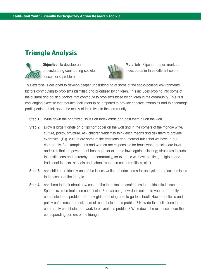## **Triangle Analysis**



**Objective**: To develop an understanding contributing societal causes for a problem.



**Materials**: Flipchart paper, markers, index cards in three different colors

This exercise is designed to develop deeper understanding of some of the socio-political environmental factors contributing to problems identified and prioritized by children. This includes probing into some of the cultural and political factors that contribute to problems faced by children in the community. This is a challenging exercise that requires facilitators to be prepared to provide concrete examples and to encourage participants to think about the reality of their lives in the community.

- **Step 1** Write down the prioritized issues on index cards and post them all on the wall.
- **Step 2** Draw a large triangle on a flipchart paper on the wall and in the corners of the triangle write: culture, policy, structure. Ask children what they think each means and ask them to provide examples. (E.g. culture are some of the traditions and informal rules that we have in our community, for example girls and women are responsible for housework; policies are laws and rules that the government has made for example laws against stealing; structures include the institutions and hierarchy in a community, for example we have political, religious and traditional leaders, schools and school management committees, etc.).
- **Step 3** Ask children to identify one of the issues written of index cards for analysis and place the issue in the center of the triangle.
- **Step 4** Ask them to think about how each of the three factors contributes to the identified issue. Spend several minutes on each factor. For example, how does culture in your community contribute to the problem of many girls not being able to go to school? How do policies and policy enforcement or lack there of, contribute to this problem? How do the institutions in the community contribute to or work to prevent this problem? Write down the responses near the corresponding corners of the triangle.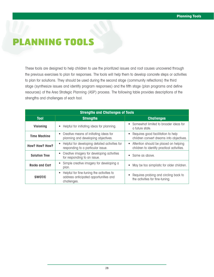## PLANNING TOOLS

These tools are designed to help children to use the prioritized issues and root causes uncovered through the previous exercises to plan for responses. The tools will help them to develop concrete steps or activities to plan for solutions. They should be used during the second stage (community reflections) the third stage (synthesize issues and identify program responses) and the fifth stage (plan programs and define resources) of the Area Strategic Planning (ASP) process. The following table provides descriptions of the strengths and challenges of each tool.

| <b>Strengths and Challenges of Tools</b> |                                                                                                   |                                                                                                  |  |  |  |
|------------------------------------------|---------------------------------------------------------------------------------------------------|--------------------------------------------------------------------------------------------------|--|--|--|
| <b>Tool</b>                              | <b>Strengths</b>                                                                                  | <b>Challenges</b>                                                                                |  |  |  |
| <b>Visioning</b>                         | Helpful for initiating ideas for planning.                                                        | Somewhat limited to broader ideas for<br>$\bullet$<br>a future state.                            |  |  |  |
| <b>Time Machine</b>                      | • Creative means of initiating ideas for<br>planning and developing objectives.                   | Requires good facilitation to help<br>$\bullet$<br>children convert dreams into objectives.      |  |  |  |
| <b>How? How? How?</b>                    | Helpful for developing detailed activities for<br>responding to a particular issue.               | Attention should be placed on helping<br>$\bullet$<br>children to identify practical activities. |  |  |  |
| <b>Solution Tree</b>                     | Creative imagery for developing activities<br>$\bullet$<br>for responding to an issue.            | Same as above.<br>$\bullet$                                                                      |  |  |  |
| <b>Rocks and Cart</b>                    | Simple creative imagery for developing a<br>plan.                                                 | May be too simplistic for older children.<br>$\bullet$                                           |  |  |  |
| <b>SWOT/C</b>                            | Helpful for fine-tuning the activities to<br>address anticipated opportunities and<br>challenges. | Requires probing and circling back to<br>the activities for fine-tuning.                         |  |  |  |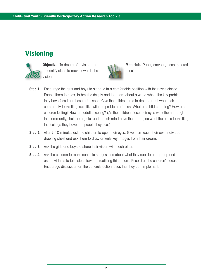## **Visioning**



**Objective:** To dream of a vision and to identify steps to move towards the vision.



**Materials**: Paper, crayons, pens, colored pencils

- **Step 1** Encourage the girls and boys to sit or lie in a comfortable position with their eyes closed. Enable them to relax, to breathe deeply and to dream about a world where the key problem they have faced has been addressed. Give the children time to dream about what their community looks like, feels like with the problem address. What are children doing? How are children feeling? How are adults' feeling? (As the children close their eyes walk them through the community, their home, etc. and in their mind have them imagine what the place looks like, the feelings they have, the people they see.)
- **Step 2** After 7-10 minutes ask the children to open their eyes. Give them each their own individual drawing sheet and ask them to draw or write key images from their dream.
- **Step 3** Ask the girls and boys to share their vision with each other.
- **Step 4** Ask the children to make concrete suggestions about what they can do as a group and as individuals to take steps towards realizing this dream. Record all the children's ideas. Encourage discussion on the concrete action ideas that they can implement.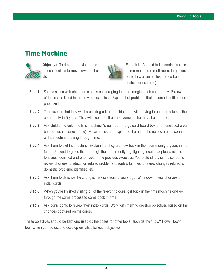### **Time Machine**



**Objective:** To dream of a vision and to identify steps to move towards the vision.



**Materials**: Colored index cards, markers, a time machine (small room, large cardboard box or an enclosed area behind bushes for example).

- **Step 1** Set the scene with child participants encouraging them to imagine their community. Review all of the issues listed in the previous exercises. Explain that problems that children identified and prioritized.
- **Step 2** Then explain that they will be entering a time machine and will moving through time to see their community in 5 years. They will see all of the improvements that have been made.
- **Step 3** Ask children to enter the time machine (small room, large card-board box or an enclosed area behind bushes for example). Make noises and explain to them that the noises are the sounds of the machine moving through time.
- **Step 4** Ask them to exit the machine. Explain that they are now back in their community 5 years in the future. Pretend to guide them through their community highlighting locations/ places related to issues identified and prioritized in the previous exercises. You pretend to visit the school to review changes to education related problems, people's families to review changes related to domestic problems identified, etc.
- **Step 5** Ask them to describe the changes they see from 5 years ago. Write down these changes on index cards.
- **Step 6** When you're finished visiting all of the relevant places, get back in the time machine and go through the same process to come back in time.
- **Step 7** Ask participants to review their index cards. Work with them to develop objectives based on the changes captured on the cards.

These objectives should be kept and used as the bases for other tools, such as the "How? How? How?" tool, which can be used to develop activities for each objective.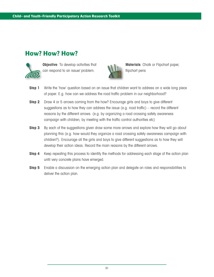## **How? How? How?**



**Objective**: To develop activities that can respond to an issue/ problem.



**Materials**: Chalk or Flipchart paper, flipchart pens

- **Step 1** Write the 'how' question based on an issue that children want to address on a wide long piece of paper. E.g. how can we address the road traffic problem in our neighborhood?
- **Step 2** Draw 4 or 5 arrows coming from the how? Encourage girls and boys to give different suggestions as to how they can address the issue (e.g. road traffic) – record the different reasons by the different arrows. (e.g. by organizing a road crossing safety awareness campaign with children, by meeting with the traffic control authorities etc)
- **Step 3** By each of the suggestions given draw some more arrows and explore how they will go about planning this (e.g. how would they organize a road crossing safety awareness campaign with children?). Encourage all the girls and boys to give different suggestions as to how they will develop their action ideas. Record the main reasons by the different arrows.
- **Step 4** Keep repeating this process to identify the methods for addressing each stage of the action plan until very concrete plans have emerged.
- **Step 5** Enable a discussion on the emerging action plan and delegate on roles and responsibilities to deliver the action plan.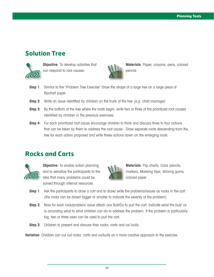### **Solution Tree**



**Objective:** To develop activities that can respond to root causes.



**Materials**: Paper, crayons, pens, colored pencils

- **Step 1** Similar to the "Problem Tree Exercise" Draw the shape of a large tree on a large piece of flipchart paper.
- **Step 2** Write an issue identified by children on the trunk of the tree (e.g. child marriage)
- **Step 3** By the bottom of the tree where the roots begin, write two or three of the prioritized root causes identified by children in the previous exercises.
- **Step 4** For each prioritized root cause encourage children to think and discuss three to four actions that can be taken by them to address the root cause. Draw separate roots descending from the tree for each action proposed and write these actions down on the emerging roots.

### **Rocks and Carts**



**Objective**: To enable action planning and to sensitize the participants to the idea that many problems could be solved through internal resources.



**Materials**: Flip charts, Color pencils, markers, Masking tape, sticking gums, colored paper

- **Step 1** Ask the participants to draw a cart and to draw/ write the problems/issues as rocks in the cart (the rocks can be drawn bigger or smaller to indicate the severity of the problem)
- **Step 2** Now for each rock/problem/ issue attach one Bull/Ox to pull the cart. Indicate what the bull/ox is according what to what children can do to address the problem. If the problem is particularly big, two or three oxen can be used to pull the cart.
- **Step 3** Children to present and discuss their rocks, carts and ox/ bulls.

**Variation**: Children can cut out rocks, carts and ox/bulls as a more creative approach to the exercise.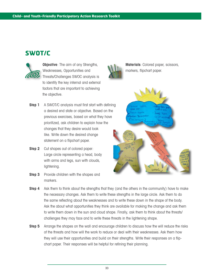### **SWOT/C**



**Objective:** The aim of any Strengths, Weaknesses, Opportunities and Threats/Challenges SWOC analysis is to identify the key internal and external factors that are important to achieving the objective.

- **Step 1** A SWOT/C analysis must first start with defining a desired end state or objective. Based on the previous exercises, based on what they have prioritized, ask children to explain how the changes that they desire would look like. Write down the desired change statement on a flipchart paper.
- **Step 2** Cut shapes out of colored paper: Large circle representing a head, body with arms and legs, sun with clouds, lightening.
- **Step 3** Provide children with the shapes and markers.



**Materials**: Colored paper, scissors, markers, flipchart paper.



- **Step 4** Ask them to think about the strengths that they (and the others in the community) have to make the necessary changes. Ask them to write these strengths in the large circle. Ask them to do the same reflecting about the weaknesses and to write these down in the shape of the body. Ask the about what opportunities they think are available for making the change and ask them to write them down in the sun and cloud shape. Finally, ask them to think about the threats/ challenges they may face and to write these threats in the lightening shape.
- **Step 5** Arrange the shapes on the wall and encourage children to discuss how the will reduce the risks of the threats and how will the work to reduce or deal with their weaknesses. Ask them how they will use their opportunities and build on their strengths. Write their responses on a flipchart paper. Their responses will be helpful for refining their planning.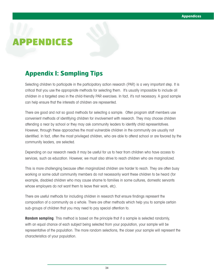## APPENDICES

## **Appendix I: Sampling Tips**

Selecting children to participate in the participatory action research (PAR) is a very important step. It is critical that you use the appropriate methods for selecting them. It's usually impossible to include all children in a targeted area in the child-friendly PAR exercises. In fact, it's not necessary. A good sample can help ensure that the interests of children are represented.

There are good and not so good methods for selecting a sample. Often program staff members use convenient methods of identifying children for involvement with research. They may choose children attending a near by school or they may ask community leaders to identify child representatives. However, through these approaches the most vulnerable children in the community are usually not identified. In fact, often the most privileged children, who are able to attend school or are favored by the community leaders, are selected.

Depending on our research needs it may be useful for us to hear from children who have access to services, such as education. However, we must also strive to reach children who are marginalized.

This is more challenging because often marginalized children are harder to reach. They are often busy working or some adult community members do not necessarily want these children to be heard (for example, disabled children who may cause shame to families in some cultures, domestic servants whose employers do not want them to leave their work, etc).

There are useful methods for including children in research that ensure findings represent the composition of a community as a whole. There are other methods which help you to sample certain sub-groups of children that you may need to pay special attention to.

**Random sampling**: This method is based on the principle that if a sample is selected randomly, with an equal chance of each subject being selected from your population, your sample will be representative of the population. The more random selections, the closer your sample will represent the characteristics of your population.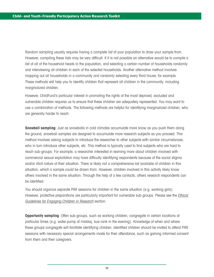Random sampling usually requires having a complete list of your population to draw your sample from. However, compiling these lists may be very difficult. If it is not possible an alternative would be to compile a list of all of the household heads in the population, and selecting a certain number of households randomly and interviewing all children in each of the selected households. Another alternative method involves mapping out all households in a community and randomly selecting every third house, for example. These methods will help you to identify children that represent all children in the community, including marginalized children.

However, ChildFund's particular interest in promoting the rights of the most deprived, excluded and vulnerable children requires us to ensure that these children are adequately represented. You may want to use a combination of methods. The following methods are helpful for identifying marginalized children, who are generally harder to reach:

**Snowball sampling:** Just as snowballs in cold climates accumulate more snow as you push them along the ground, snowball samples are designed to accumulate more research subjects as you proceed. This method involves asking subjects to introduce the researcher to other subjects with similar circumstances, who in turn introduce other subjects, etc. This method is typically used to find subjects who are hard to reach sub-groups. For example, a researcher interested in learning more about children involved with commercial sexual exploitation may have difficulty identifying respondents because of the social stigma and/or illicit nature of their situation. There is likely not a comprehensive list available of children in this situation, which a sample could be drawn from. However, children involved in this activity likely know others involved in the same situation. Through the help of a few contacts, others research respondents can be identified.

You should organize separate PAR sessions for children in the same situation (e.g. working girls). However, protective preparations are particularly important for vulnerable sub-groups. Please see the Ethical Guidelines for Engaging Children in Research section.

**Opportunity sampling**: Often sub-groups, such as working children, congregate in certain locations at particular times (e.g. water-pump at midday, bus-rank in the evening). Knowledge of when and where these groups congregate will facilitate identifying children. Identified children should be invited to attend PAR sessions with necessary special arrangements made for their attendance, such as gaining informed consent from them and their caregivers.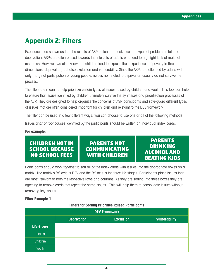## **Appendix 2: Filters**

Experience has shown us that the results of ASPs often emphasize certain types of problems related to deprivation. ASPs are often biased towards the interests of adults who tend to highlight lack of material resources. However, we also know that children tend to express their experiences of poverty in three dimensions: deprivation, but also exclusion and vulnerability. Since the ASPs are often led by adults with only marginal participation of young people, issues not related to deprivation usually do not survive the process.

The filters are meant to help prioritize certain types of issues raised by children and youth. This tool can help to ensure that issues identified by children ultimately survive the syntheses and prioritization processes of the ASP. They are designed to help organize the concerns of ASP participants and safe-guard different types of issues that are often considered important for children and relevant to the DEV framework.

The filter can be used in a few different ways. You can choose to use one or all of the following methods.

Issues and/ or root causes identified by the participants should be written on individual index cards.

#### **For example**:

#### CHILDREN NOT IN SCHOOL BECAUSE NO SCHOOL FEES

#### PARENTS NOT COMMUNICATING WITH CHILDREN

#### PARENTS DRINKING ALCOHOL AND BEATING KIDS

Participants should work together to sort all of the index cards with issues into the appropriate boxes on a matrix. The matrix's "y" axis is DEV and the "x" axis is the three life-stages. Participants place issues that are most relevant to both the respective rows and columns. As they are sorting into these boxes they are agreeing to remove cards that repeat the same issues. This will help them to consolidate issues without removing key issues.

#### **Filter Example 1**

| <b>DEV Framework</b> |                                                                |  |  |  |  |  |
|----------------------|----------------------------------------------------------------|--|--|--|--|--|
|                      | <b>Exclusion</b><br><b>Vulnerability</b><br><b>Deprivation</b> |  |  |  |  |  |
| Life-Stages          |                                                                |  |  |  |  |  |
| <b>Infants</b>       |                                                                |  |  |  |  |  |
| <b>Children</b>      |                                                                |  |  |  |  |  |
| <b>Youth</b>         |                                                                |  |  |  |  |  |

#### **Filters for Sorting Priorities Raised Participants**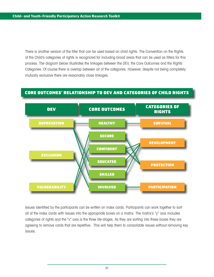There is another version of the filter that can be used based on child rights. The Convention on the Rights of the Child's categories of rights is recognized for including broad areas that can be used as filters for this process. The diagram below illustrates the linkages between the DEV, the Core Outcomes and the Rights Categories. Of course there is overlap between all of the categories. However, despite not being completely mutually exclusive there are reasonably close linkages.

#### CORE OUTCOMES' RELATIONSHIP TO DEV AND CATEGORIES OF CHILD RIGHTS



Issues identified by the participants can be written on index cards. Participants can work together to sort all of the index cards with issues into the appropriate boxes on a matrix. The matrix's "y" axis includes categories of rights and the "x" axis is the three life-stages. As they are sorting into these boxes they are agreeing to remove cards that are repetitive. This will help them to consolidate issues without removing key issues.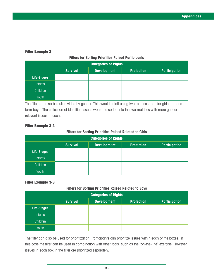#### **Filter Example 2**

#### **Filters for Sorting Priorities Raised Participants**

| <b>Categories of Rights</b> |                                                                                    |  |  |  |  |
|-----------------------------|------------------------------------------------------------------------------------|--|--|--|--|
|                             | <b>Survival</b><br><b>Development</b><br><b>Protection</b><br><b>Participation</b> |  |  |  |  |
| Life-Stages                 |                                                                                    |  |  |  |  |
| <b>Infants</b>              |                                                                                    |  |  |  |  |
| Children                    |                                                                                    |  |  |  |  |
| Youth                       |                                                                                    |  |  |  |  |

The filter can also be sub-divided by gender. This would entail using two matrices: one for girls and one form boys. The collection of identified issues would be sorted into the two matrices with more genderrelevant issues in each.

#### **Filter Example 3-A**

#### **Filters for Sorting Priorities Raised Related to Girls**

| <b>Categories of Rights</b> |                                                                                    |  |  |  |  |
|-----------------------------|------------------------------------------------------------------------------------|--|--|--|--|
|                             | <b>Development</b><br><b>Survival</b><br><b>Protection</b><br><b>Participation</b> |  |  |  |  |
| <b>Life-Stages</b>          |                                                                                    |  |  |  |  |
| <b>Infants</b>              |                                                                                    |  |  |  |  |
| Children                    |                                                                                    |  |  |  |  |
| Youth                       |                                                                                    |  |  |  |  |

#### **Filter Example 3-B**

#### **Filters for Sorting Priorities Raised Related to Boys**

| <b>Categories of Rights</b> |                 |                    |                   |                      |
|-----------------------------|-----------------|--------------------|-------------------|----------------------|
|                             | <b>Survival</b> | <b>Development</b> | <b>Protection</b> | <b>Participation</b> |
| <b>Life-Stages</b>          |                 |                    |                   |                      |
| <b>Infants</b>              |                 |                    |                   |                      |
| Children                    |                 |                    |                   |                      |
| Youth                       |                 |                    |                   |                      |

The filter can also be used for prioritization. Participants can prioritize issues within each of the boxes. In this case the filter can be used in combination with other tools, such as the "on-the-line" exercise. However, issues in each box in the filter are prioritized separately.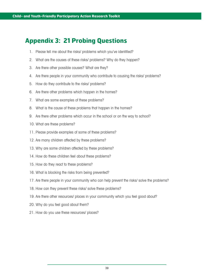## **Appendix 3: 21 Probing Questions**

- 1. Please tell me about the risks/ problems which you've identified?
- 2. What are the causes of these risks/ problems? Why do they happen?
- 3. Are there other possible causes? What are they?
- 4. Are there people in your community who contribute to causing the risks/ problems?
- 5. How do they contribute to the risks/ problems?
- 6. Are there other problems which happen in the homes?
- 7. What are some examples of these problems?
- 8. What is the cause of these problems that happen in the homes?
- 9. Are there other problems which occur in the school or on the way to school?
- 10. What are these problems?
- 11. Please provide examples of some of these problems?
- 12. Are many children affected by these problems?
- 13. Why are some children affected by these problems?
- 14. How do these children feel about these problems?
- 15. How do they react to these problems?
- 16. What is blocking the risks from being prevented?
- 17. Are there people in your community who can help prevent the risks/ solve the problems?
- 18. How can they prevent these risks/ solve these problems?
- 19. Are there other resources/ places in your community which you feel good about?
- 20. Why do you feel good about them?
- 21. How do you use these resources/ places?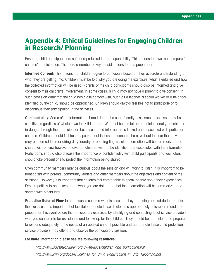#### **Appendix 4: Ethical Guidelines for Engaging Children in Research/ Planning**

Ensuring child participants are safe and protected is our responsibility. This means that we must prepare for children's participation. There are a number of key considerations for this preparation.

**Informed Consent**: This means that children agree to participate based on their accurate understanding of what they are getting into. Children must be told why you are doing the exercises, what is entailed and how the collected information will be used. Parents of the child participants should also be informed and give consent to their children's involvement. In some cases, a child may not have a parent to give consent. In such cases an adult that the child has close contact with, such as a teacher, a social worker or a neighbor identified by the child, should be approached. Children should always feel free not to participate or to discontinue their participation in the activities.

**Confidentiality**: Some of the information shared during the child-friendly assessment exercises may be sensitive, regardless of whether we think it is or not. We must be careful not to unintentionally put children in danger through their participation because shared information is leaked and associated with particular children. Children should feel free to speak about issues that concern them, without the fear that they may be blamed later for airing dirty laundry or pointing fingers, etc. Information will be summarized and shared with others; however, individual children will not be identified and associated with the information. Participants should also discuss the importance of confidentiality with child participants and facilitators should take precautions to protect the information being shared.

Often community members may be curious about the session and will want to listen. It is important to be transparent with parents, community leaders and other members about the objectives and content of the sessions. However, it is important that children feel comfortable to speak openly about their experiences. Explain politely to onlookers about what you are doing and that the information will be summarized and shared with others later.

**Protection Referral Plan**: In some cases children will disclose that they are being abused during or after the exercises. It is important that facilitators handle these disclosures appropriately. It is recommended to prepare for this event before the participatory exercises by identifying and contacting local service providers who you can refer to for assistance and follow-up for the children. They should be competent and prepared to respond adequately to the needs of an abused child. If possible and appropriate these child protection service providers may attend and observe the participatory session.

#### **For more information please see the following resources:**

http://www.savethechildren.org.uk/en/docs/children\_and\_partipation.pdf http://www.crin.org/docs/Guidelines\_for\_Child\_Participation\_in\_CRC\_Reporting.pdf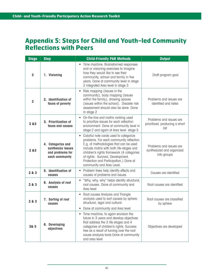#### **Appendix 5: Steps for Child and Youth-led Community Reflections with Peers**

| <b>Stage</b>   | <b>Step</b>                                                                  | <b>Child-Friendly PAR Methods</b>                                                                                                                                                                                                                                                                                                             | <b>Output</b>                                                       |
|----------------|------------------------------------------------------------------------------|-----------------------------------------------------------------------------------------------------------------------------------------------------------------------------------------------------------------------------------------------------------------------------------------------------------------------------------------------|---------------------------------------------------------------------|
| $\overline{2}$ | 1. Visioning                                                                 | • Time machine. Brainstormed responses<br>and or visioning exercises to imagine<br>how they would like to see their<br>community, school and family in five<br>years. Done at community level in stage<br>2 integrated Area level in stage 3                                                                                                  | Draft program goal                                                  |
| $\overline{2}$ | 2. Identification of<br>faces of poverty                                     | Risk mapping (issues in the<br>community), body mapping (issues<br>within the family), drawing spaces<br>(issues within the school). Disaster risk<br>assessment should also be done. Done<br>in stage 2                                                                                                                                      | Problems and issues are<br>identified and listed                    |
| 2 & 83         | 3. Prioritization of<br>faces and causes                                     | On-the-line and matrix ranking used<br>$\bullet$<br>to prioritize issues for each reflection<br>environment. Done at community level in<br>stage 2 and again at Area level stage 3                                                                                                                                                            | Problems and issues are<br>prioritized, producing a short<br>list   |
| 283            | 4. Categorize and<br>synthesize issues<br>and problems for<br>each community | Colorful note cards used to categorize<br>$\bullet$<br>problems. For each community reflection<br>E.g. of methodologies that can be used<br>include matrix with both life-stages and<br>children's rights framework (4 categories<br>of rights: Survival, Development,<br>Protection and Participation.) Done at<br>community and Area Level. | Problems and issues are<br>synthesized and organized<br>into groups |
| 2 & 3          | 5. Identification of<br>causes                                               | Problem trees help identify effects and<br>causes of problems and issues.                                                                                                                                                                                                                                                                     | Causes are identified                                               |
| 2 & 3          | 6. Analysis of root<br>causes                                                | "Why, why, why" helps identify structural,<br>root causes. Done at community and<br>Area level                                                                                                                                                                                                                                                | Root causes are identified                                          |
| 2 & 3          | 7. Sorting of root<br>causes                                                 | Root causes Analysis and Triangle<br>$\bullet$<br>analysis used to sort causes by sphere:<br>structural, legal and cultural.<br>Done at community and Area level                                                                                                                                                                              | Root causes are classified<br>by sphere                             |
| 3& 5           | 8. Developing<br>objectives                                                  | Time machine, to again envision the<br>$\bullet$<br>future in 3 years and develop objectives<br>that address the 3 life stages and 4<br>categories of children's rights. Success<br>tree as a result of turning over the root<br>cause analysis tools Done at community<br>and area level                                                     | Objectives are developed                                            |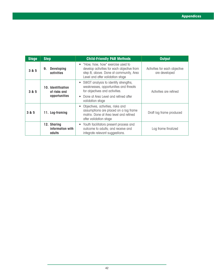| <b>Stage</b> | <b>Step</b>                                                | <b>Child-Friendly PAR Methods</b>                                                                                                                                           | <b>Output</b>                                  |
|--------------|------------------------------------------------------------|-----------------------------------------------------------------------------------------------------------------------------------------------------------------------------|------------------------------------------------|
| 3 & 5        | <b>Developing</b><br>9.<br><b>activities</b>               | • "How, how, how" exercise used to<br>develop activities for each objective from<br>step 8, above. Done at community, Area<br>Level and after validation stage              | Activities for each objective<br>are developed |
| 3 & 5        | <b>10. Identification</b><br>of risks and<br>opportunities | SWOT analysis to identify strengths,<br>weaknesses, opportunities and threats<br>for objectives and activities.<br>Done at Area Level and refined after<br>validation stage | Activities are refined                         |
| 3 & 5        | 11. Log-framing                                            | Objectives, activities, risks and<br>assumptions are placed on a log frame<br>matrix. Done at Area level and refined<br>after validation stage                              | Draft log frame produced                       |
|              | 12. Sharing<br>information with<br>adults                  | • Youth facilitators present process and<br>outcome to adults; and receive and<br>integrate relevant suggestions.                                                           | Log frame finalized                            |